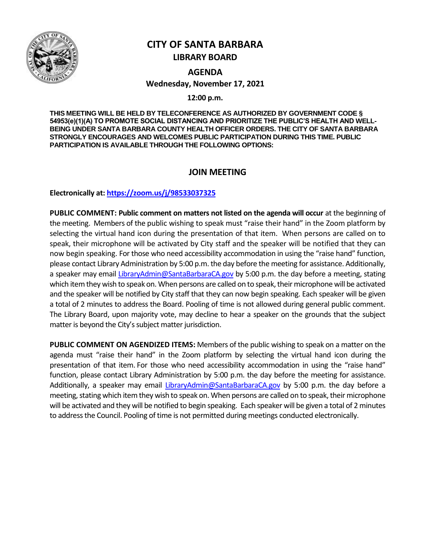

# **CITY OF SANTA BARBARA LIBRARY BOARD**

**AGENDA Wednesday, November 17, 2021**

**12:00 p.m.**

**THIS MEETING WILL BE HELD BY TELECONFERENCE AS AUTHORIZED BY GOVERNMENT CODE § 54953(e)(1)(A) TO PROMOTE SOCIAL DISTANCING AND PRIORITIZE THE PUBLIC'S HEALTH AND WELL-BEING UNDER SANTA BARBARA COUNTY HEALTH OFFICER ORDERS. THE CITY OF SANTA BARBARA STRONGLY ENCOURAGES AND WELCOMES PUBLIC PARTICIPATION DURING THIS TIME. PUBLIC PARTICIPATION IS AVAILABLE THROUGH THE FOLLOWING OPTIONS:**

# **JOIN MEETING**

**Electronically at[: https://zoom.us/j/98533037325](https://zoom.us/j/98533037325)**

**PUBLIC COMMENT: Public comment on matters not listed on the agenda will occur** at the beginning of the meeting. Members of the public wishing to speak must "raise their hand" in the Zoom platform by selecting the virtual hand icon during the presentation of that item. When persons are called on to speak, their microphone will be activated by City staff and the speaker will be notified that they can now begin speaking. For those who need accessibility accommodation in using the "raise hand" function, please contact Library Administration by 5:00 p.m. the day before the meeting for assistance. Additionally, a speaker may email [LibraryAdmin@SantaBarbaraCA.gov](mailto:LibraryAdmin@SantaBarbaraCA.gov) by 5:00 p.m. the day before a meeting, stating which item they wish to speak on. When persons are called on to speak, their microphone will be activated and the speaker will be notified by City staff that they can now begin speaking. Each speaker will be given a total of 2 minutes to address the Board. Pooling of time is not allowed during general public comment. The Library Board, upon majority vote, may decline to hear a speaker on the grounds that the subject matter is beyond the City's subject matter jurisdiction.

**PUBLIC COMMENT ON AGENDIZED ITEMS:** Members of the public wishing to speak on a matter on the agenda must "raise their hand" in the Zoom platform by selecting the virtual hand icon during the presentation of that item. For those who need accessibility accommodation in using the "raise hand" function, please contact Library Administration by 5:00 p.m. the day before the meeting for assistance. Additionally, a speaker may email [LibraryAdmin@SantaBarbaraCA.gov](mailto:LibraryAdmin@SantaBarbaraCA.gov) by 5:00 p.m. the day before a meeting, stating which item they wish to speak on. When persons are called on to speak, their microphone will be activated and they will be notified to begin speaking. Each speaker will be given a total of 2 minutes to address the Council. Pooling of time is not permitted during meetings conducted electronically.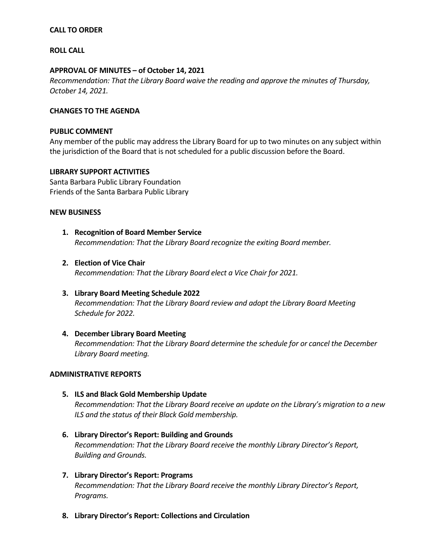# **CALL TO ORDER**

# **ROLL CALL**

# **APPROVAL OF MINUTES – of October 14, 2021**

*Recommendation: That the Library Board waive the reading and approve the minutes of Thursday, October 14, 2021.*

# **CHANGES TO THE AGENDA**

### **PUBLIC COMMENT**

Any member of the public may address the Library Board for up to two minutes on any subject within the jurisdiction of the Board that is not scheduled for a public discussion before the Board.

# **LIBRARY SUPPORT ACTIVITIES**

Santa Barbara Public Library Foundation Friends of the Santa Barbara Public Library

#### **NEW BUSINESS**

- **1. Recognition of Board Member Service** *Recommendation: That the Library Board recognize the exiting Board member.*
- **2. Election of Vice Chair** *Recommendation: That the Library Board elect a Vice Chair for 2021.*
- **3. Library Board Meeting Schedule 2022** *Recommendation: That the Library Board review and adopt the Library Board Meeting Schedule for 2022.*

# **4. December Library Board Meeting**

*Recommendation: That the Library Board determine the schedule for or cancel the December Library Board meeting.* 

# **ADMINISTRATIVE REPORTS**

- **5. ILS and Black Gold Membership Update** *Recommendation: That the Library Board receive an update on the Library's migration to a new ILS and the status of their Black Gold membership.*
- **6. Library Director's Report: Building and Grounds** *Recommendation: That the Library Board receive the monthly Library Director's Report, Building and Grounds.*
- **7. Library Director's Report: Programs** *Recommendation: That the Library Board receive the monthly Library Director's Report, Programs.*
- **8. Library Director's Report: Collections and Circulation**